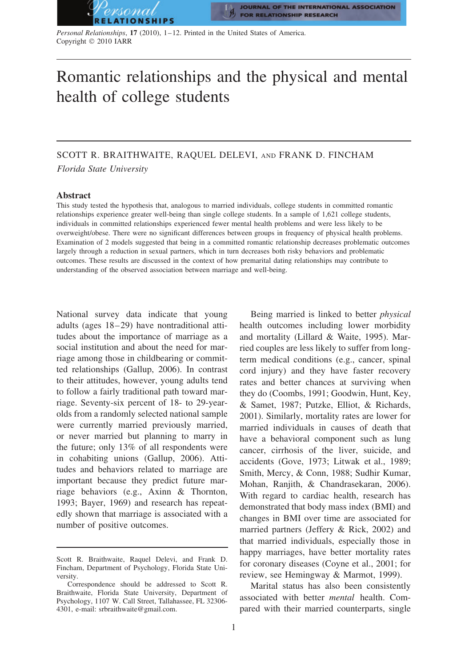

*Personal Relationships*, **17** (2010), 1–12. Printed in the United States of America. Copyright © 2010 IARR

# Romantic relationships and the physical and mental health of college students

## SCOTT R. BRAITHWAITE, RAQUEL DELEVI, AND FRANK D. FINCHAM

*Florida State University*

## **Abstract**

This study tested the hypothesis that, analogous to married individuals, college students in committed romantic relationships experience greater well-being than single college students. In a sample of 1,621 college students, individuals in committed relationships experienced fewer mental health problems and were less likely to be overweight/obese. There were no significant differences between groups in frequency of physical health problems. Examination of 2 models suggested that being in a committed romantic relationship decreases problematic outcomes largely through a reduction in sexual partners, which in turn decreases both risky behaviors and problematic outcomes. These results are discussed in the context of how premarital dating relationships may contribute to understanding of the observed association between marriage and well-being.

National survey data indicate that young adults (ages 18–29) have nontraditional attitudes about the importance of marriage as a social institution and about the need for marriage among those in childbearing or committed relationships (Gallup, 2006). In contrast to their attitudes, however, young adults tend to follow a fairly traditional path toward marriage. Seventy-six percent of 18- to 29-yearolds from a randomly selected national sample were currently married previously married, or never married but planning to marry in the future; only 13% of all respondents were in cohabiting unions (Gallup, 2006). Attitudes and behaviors related to marriage are important because they predict future marriage behaviors (e.g., Axinn & Thornton, 1993; Bayer, 1969) and research has repeatedly shown that marriage is associated with a number of positive outcomes.

Being married is linked to better *physical* health outcomes including lower morbidity and mortality (Lillard & Waite, 1995). Married couples are less likely to suffer from longterm medical conditions (e.g., cancer, spinal cord injury) and they have faster recovery rates and better chances at surviving when they do (Coombs, 1991; Goodwin, Hunt, Key, & Samet, 1987; Putzke, Elliot, & Richards, 2001). Similarly, mortality rates are lower for married individuals in causes of death that have a behavioral component such as lung cancer, cirrhosis of the liver, suicide, and accidents (Gove, 1973; Litwak et al., 1989; Smith, Mercy, & Conn, 1988; Sudhir Kumar, Mohan, Ranjith, & Chandrasekaran, 2006). With regard to cardiac health, research has demonstrated that body mass index (BMI) and changes in BMI over time are associated for married partners (Jeffery & Rick, 2002) and that married individuals, especially those in happy marriages, have better mortality rates for coronary diseases (Coyne et al., 2001; for review, see Hemingway & Marmot, 1999).

Marital status has also been consistently associated with better *mental* health. Compared with their married counterparts, single

Scott R. Braithwaite, Raquel Delevi, and Frank D. Fincham, Department of Psychology, Florida State University.

Correspondence should be addressed to Scott R. Braithwaite, Florida State University, Department of Psychology, 1107 W. Call Street, Tallahassee, FL 32306- 4301, e-mail: srbraithwaite@gmail.com.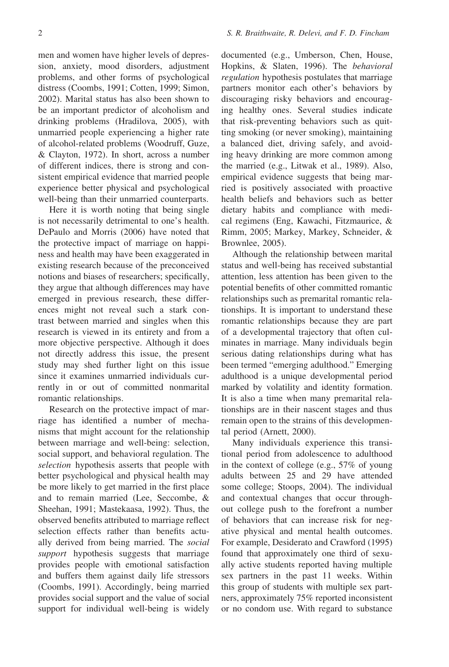men and women have higher levels of depression, anxiety, mood disorders, adjustment problems, and other forms of psychological distress (Coombs, 1991; Cotten, 1999; Simon, 2002). Marital status has also been shown to be an important predictor of alcoholism and drinking problems (Hradilova, 2005), with unmarried people experiencing a higher rate of alcohol-related problems (Woodruff, Guze, & Clayton, 1972). In short, across a number of different indices, there is strong and consistent empirical evidence that married people experience better physical and psychological well-being than their unmarried counterparts.

Here it is worth noting that being single is not necessarily detrimental to one's health. DePaulo and Morris (2006) have noted that the protective impact of marriage on happiness and health may have been exaggerated in existing research because of the preconceived notions and biases of researchers; specifically, they argue that although differences may have emerged in previous research, these differences might not reveal such a stark contrast between married and singles when this research is viewed in its entirety and from a more objective perspective. Although it does not directly address this issue, the present study may shed further light on this issue since it examines unmarried individuals currently in or out of committed nonmarital romantic relationships.

Research on the protective impact of marriage has identified a number of mechanisms that might account for the relationship between marriage and well-being: selection, social support, and behavioral regulation. The *selection* hypothesis asserts that people with better psychological and physical health may be more likely to get married in the first place and to remain married (Lee, Seccombe, & Sheehan, 1991; Mastekaasa, 1992). Thus, the observed benefits attributed to marriage reflect selection effects rather than benefits actually derived from being married. The *social support* hypothesis suggests that marriage provides people with emotional satisfaction and buffers them against daily life stressors (Coombs, 1991). Accordingly, being married provides social support and the value of social support for individual well-being is widely documented (e.g., Umberson, Chen, House, Hopkins, & Slaten, 1996). The *behavioral regulation* hypothesis postulates that marriage partners monitor each other's behaviors by discouraging risky behaviors and encouraging healthy ones. Several studies indicate that risk-preventing behaviors such as quitting smoking (or never smoking), maintaining a balanced diet, driving safely, and avoiding heavy drinking are more common among the married (e.g., Litwak et al., 1989). Also, empirical evidence suggests that being married is positively associated with proactive health beliefs and behaviors such as better dietary habits and compliance with medical regimens (Eng, Kawachi, Fitzmaurice, & Rimm, 2005; Markey, Markey, Schneider, & Brownlee, 2005).

Although the relationship between marital status and well-being has received substantial attention, less attention has been given to the potential benefits of other committed romantic relationships such as premarital romantic relationships. It is important to understand these romantic relationships because they are part of a developmental trajectory that often culminates in marriage. Many individuals begin serious dating relationships during what has been termed "emerging adulthood." Emerging adulthood is a unique developmental period marked by volatility and identity formation. It is also a time when many premarital relationships are in their nascent stages and thus remain open to the strains of this developmental period (Arnett, 2000).

Many individuals experience this transitional period from adolescence to adulthood in the context of college (e.g., 57% of young adults between 25 and 29 have attended some college; Stoops, 2004). The individual and contextual changes that occur throughout college push to the forefront a number of behaviors that can increase risk for negative physical and mental health outcomes. For example, Desiderato and Crawford (1995) found that approximately one third of sexually active students reported having multiple sex partners in the past 11 weeks. Within this group of students with multiple sex partners, approximately 75% reported inconsistent or no condom use. With regard to substance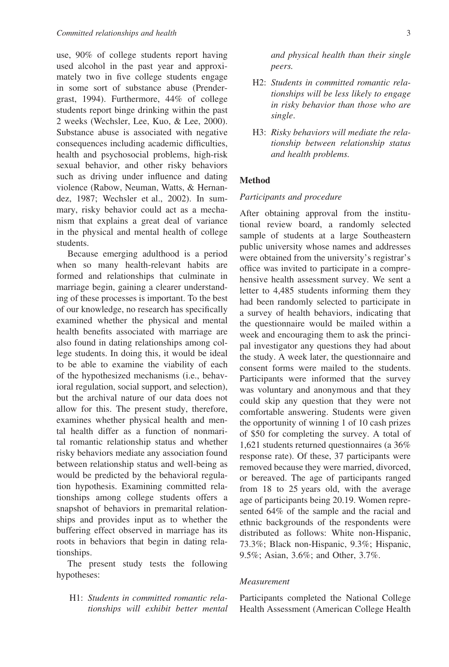use, 90% of college students report having used alcohol in the past year and approximately two in five college students engage in some sort of substance abuse (Prendergrast, 1994). Furthermore, 44% of college students report binge drinking within the past 2 weeks (Wechsler, Lee, Kuo, & Lee, 2000). Substance abuse is associated with negative consequences including academic difficulties, health and psychosocial problems, high-risk sexual behavior, and other risky behaviors such as driving under influence and dating violence (Rabow, Neuman, Watts, & Hernandez, 1987; Wechsler et al., 2002). In summary, risky behavior could act as a mechanism that explains a great deal of variance in the physical and mental health of college students.

Because emerging adulthood is a period when so many health-relevant habits are formed and relationships that culminate in marriage begin, gaining a clearer understanding of these processes is important. To the best of our knowledge, no research has specifically examined whether the physical and mental health benefits associated with marriage are also found in dating relationships among college students. In doing this, it would be ideal to be able to examine the viability of each of the hypothesized mechanisms (i.e., behavioral regulation, social support, and selection), but the archival nature of our data does not allow for this. The present study, therefore, examines whether physical health and mental health differ as a function of nonmarital romantic relationship status and whether risky behaviors mediate any association found between relationship status and well-being as would be predicted by the behavioral regulation hypothesis. Examining committed relationships among college students offers a snapshot of behaviors in premarital relationships and provides input as to whether the buffering effect observed in marriage has its roots in behaviors that begin in dating relationships.

The present study tests the following hypotheses:

H1: *Students in committed romantic relationships will exhibit better mental*

*and physical health than their single peers.*

- H2: *Students in committed romantic relationships will be less likely to engage in risky behavior than those who are single*.
- H3: *Risky behaviors will mediate the relationship between relationship status and health problems.*

## **Method**

### *Participants and procedure*

After obtaining approval from the institutional review board, a randomly selected sample of students at a large Southeastern public university whose names and addresses were obtained from the university's registrar's office was invited to participate in a comprehensive health assessment survey. We sent a letter to 4,485 students informing them they had been randomly selected to participate in a survey of health behaviors, indicating that the questionnaire would be mailed within a week and encouraging them to ask the principal investigator any questions they had about the study. A week later, the questionnaire and consent forms were mailed to the students. Participants were informed that the survey was voluntary and anonymous and that they could skip any question that they were not comfortable answering. Students were given the opportunity of winning 1 of 10 cash prizes of \$50 for completing the survey. A total of 1,621 students returned questionnaires (a 36% response rate). Of these, 37 participants were removed because they were married, divorced, or bereaved. The age of participants ranged from 18 to 25 years old, with the average age of participants being 20.19. Women represented 64% of the sample and the racial and ethnic backgrounds of the respondents were distributed as follows: White non-Hispanic, 73.3%; Black non-Hispanic, 9.3%; Hispanic, 9.5%; Asian, 3.6%; and Other, 3.7%.

#### *Measurement*

Participants completed the National College Health Assessment (American College Health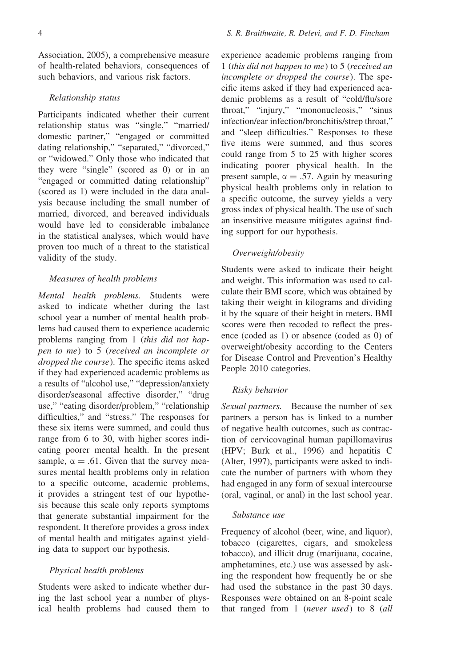## *Relationship status*

Participants indicated whether their current relationship status was "single," "married/ domestic partner," "engaged or committed dating relationship," "separated," "divorced," or "widowed." Only those who indicated that they were "single" (scored as 0) or in an "engaged or committed dating relationship" (scored as 1) were included in the data analysis because including the small number of married, divorced, and bereaved individuals would have led to considerable imbalance in the statistical analyses, which would have proven too much of a threat to the statistical validity of the study.

such behaviors, and various risk factors.

## *Measures of health problems*

*Mental health problems.* Students were asked to indicate whether during the last school year a number of mental health problems had caused them to experience academic problems ranging from 1 (*this did not happen to me*) to 5 (*received an incomplete or dropped the course*). The specific items asked if they had experienced academic problems as a results of "alcohol use," "depression/anxiety disorder/seasonal affective disorder," "drug use," "eating disorder/problem," "relationship difficulties," and "stress." The responses for these six items were summed, and could thus range from 6 to 30, with higher scores indicating poorer mental health. In the present sample,  $\alpha = .61$ . Given that the survey measures mental health problems only in relation to a specific outcome, academic problems, it provides a stringent test of our hypothesis because this scale only reports symptoms that generate substantial impairment for the respondent. It therefore provides a gross index of mental health and mitigates against yielding data to support our hypothesis.

## *Physical health problems*

Students were asked to indicate whether during the last school year a number of physical health problems had caused them to experience academic problems ranging from 1 (*this did not happen to me*) to 5 (*received an incomplete or dropped the course*). The specific items asked if they had experienced academic problems as a result of "cold/flu/sore throat," "injury," "mononucleosis," "sinus infection/ear infection/bronchitis/strep throat," and "sleep difficulties." Responses to these five items were summed, and thus scores could range from 5 to 25 with higher scores indicating poorer physical health. In the present sample,  $\alpha = .57$ . Again by measuring physical health problems only in relation to a specific outcome, the survey yields a very gross index of physical health. The use of such an insensitive measure mitigates against finding support for our hypothesis.

## *Overweight/obesity*

Students were asked to indicate their height and weight. This information was used to calculate their BMI score, which was obtained by taking their weight in kilograms and dividing it by the square of their height in meters. BMI scores were then recoded to reflect the presence (coded as 1) or absence (coded as 0) of overweight/obesity according to the Centers for Disease Control and Prevention's Healthy People 2010 categories.

## *Risky behavior*

*Sexual partners.* Because the number of sex partners a person has is linked to a number of negative health outcomes, such as contraction of cervicovaginal human papillomavirus (HPV; Burk et al., 1996) and hepatitis C (Alter, 1997), participants were asked to indicate the number of partners with whom they had engaged in any form of sexual intercourse (oral, vaginal, or anal) in the last school year.

### *Substance use*

Frequency of alcohol (beer, wine, and liquor), tobacco (cigarettes, cigars, and smokeless tobacco), and illicit drug (marijuana, cocaine, amphetamines, etc.) use was assessed by asking the respondent how frequently he or she had used the substance in the past 30 days. Responses were obtained on an 8-point scale that ranged from 1 (*never used*) to 8 (*all*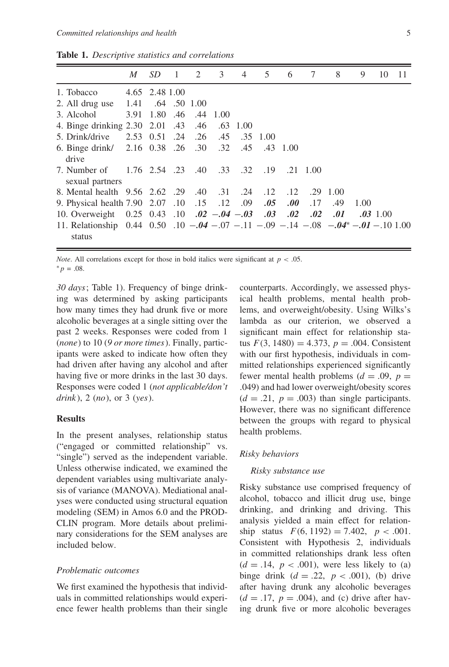|                                                                                             | M | <i>SD</i>         | $\overline{1}$ |              | 2 3 4    |            |                  | 5 6              | 7                          | 8   | 9    | 10            | 11 |
|---------------------------------------------------------------------------------------------|---|-------------------|----------------|--------------|----------|------------|------------------|------------------|----------------------------|-----|------|---------------|----|
| 1. Tobacco                                                                                  |   | 4.65 2.48 1.00    |                |              |          |            |                  |                  |                            |     |      |               |    |
| 2. All drug use $1.41$                                                                      |   |                   |                | .64 .50 1.00 |          |            |                  |                  |                            |     |      |               |    |
| 3. Alcohol                                                                                  |   | 3.91 1.80         | .46            |              | .44 1.00 |            |                  |                  |                            |     |      |               |    |
| 4. Binge drinking 2.30 2.01 .43 .46                                                         |   |                   |                |              |          | $.63$ 1.00 |                  |                  |                            |     |      |               |    |
| 5. Drink/drive                                                                              |   | 2.53 0.51 .24 .26 |                |              | .45      |            | $.35 \quad 1.00$ |                  |                            |     |      |               |    |
| 6. Binge drink/ 2.16 0.38 .26 .30                                                           |   |                   |                |              | .32      | .45        |                  | $.43 \quad 1.00$ |                            |     |      |               |    |
| drive                                                                                       |   |                   |                |              |          |            |                  |                  |                            |     |      |               |    |
| 7. Number of 1.76 2.54 .23 .40 .33 .32 .19                                                  |   |                   |                |              |          |            |                  |                  | $.21 \quad 1.00$           |     |      |               |    |
| sexual partners                                                                             |   |                   |                |              |          |            |                  |                  |                            |     |      |               |    |
| 8. Mental health 9.56 2.62 .29 .40 .31 .24 .12                                              |   |                   |                |              |          |            |                  |                  | $.12 \quad .29 \quad 1.00$ |     |      |               |    |
| 9. Physical health 7.90 2.07 .10 .15 .12 .09 .05                                            |   |                   |                |              |          |            |                  | .00              | .17                        | .49 | 1.00 |               |    |
| 10. Overweight $0.25$ 0.43 .10 .02 $-.04$ $-.03$ .03 .02 .02                                |   |                   |                |              |          |            |                  |                  |                            | .01 |      | $.03 \; 1.00$ |    |
| 11. Relationship $0.44$ $0.50$ $10 -0.04 -0.07 -11 -0.09 -14 -0.08 -0.04* -0.01 -101 -0.00$ |   |                   |                |              |          |            |                  |                  |                            |     |      |               |    |
| status                                                                                      |   |                   |                |              |          |            |                  |                  |                            |     |      |               |    |

**Table 1.** *Descriptive statistics and correlations*

*Note*. All correlations except for those in bold italics were significant at  $p < .05$ .

∗*p* = .08.

*30 days*; Table 1). Frequency of binge drinking was determined by asking participants how many times they had drunk five or more alcoholic beverages at a single sitting over the past 2 weeks. Responses were coded from 1 (*none*) to 10 (*9 or more times*). Finally, participants were asked to indicate how often they had driven after having any alcohol and after having five or more drinks in the last 30 days. Responses were coded 1 (*not applicable/don't drink*), 2 (*no*), or 3 (*yes*).

## **Results**

In the present analyses, relationship status ("engaged or committed relationship" vs. "single") served as the independent variable. Unless otherwise indicated, we examined the dependent variables using multivariate analysis of variance (MANOVA). Mediational analyses were conducted using structural equation modeling (SEM) in Amos 6.0 and the PROD-CLIN program. More details about preliminary considerations for the SEM analyses are included below.

## *Problematic outcomes*

We first examined the hypothesis that individuals in committed relationships would experience fewer health problems than their single counterparts. Accordingly, we assessed physical health problems, mental health problems, and overweight/obesity. Using Wilks's lambda as our criterion, we observed a significant main effect for relationship status  $F(3, 1480) = 4.373$ ,  $p = .004$ . Consistent with our first hypothesis, individuals in committed relationships experienced significantly fewer mental health problems  $(d = .09, p = )$ *.*049) and had lower overweight/obesity scores  $(d = .21, p = .003)$  than single participants. However, there was no significant difference between the groups with regard to physical health problems.

#### *Risky behaviors*

## *Risky substance use*

Risky substance use comprised frequency of alcohol, tobacco and illicit drug use, binge drinking, and drinking and driving. This analysis yielded a main effect for relationship status  $F(6, 1192) = 7.402$ ,  $p < .001$ . Consistent with Hypothesis 2, individuals in committed relationships drank less often  $(d = .14, p < .001)$ , were less likely to (a) binge drink  $(d = .22, p < .001)$ , (b) drive after having drunk any alcoholic beverages  $(d = .17, p = .004)$ , and (c) drive after having drunk five or more alcoholic beverages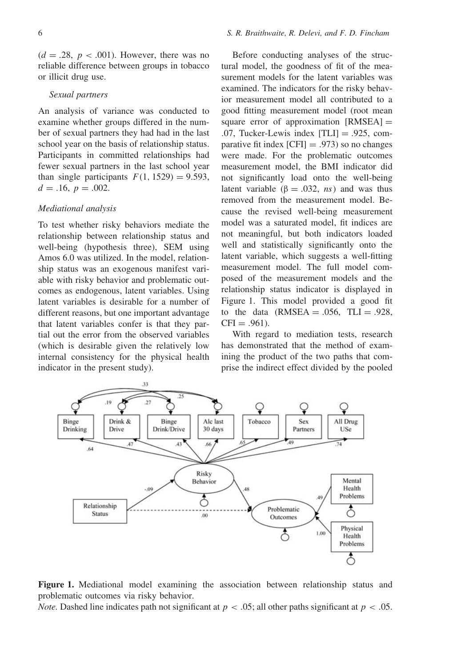$(d = .28, p < .001)$ . However, there was no reliable difference between groups in tobacco or illicit drug use.

## *Sexual partners*

An analysis of variance was conducted to examine whether groups differed in the number of sexual partners they had had in the last school year on the basis of relationship status. Participants in committed relationships had fewer sexual partners in the last school year than single participants  $F(1, 1529) = 9.593$ ,  $d = .16, p = .002.$ 

### *Mediational analysis*

To test whether risky behaviors mediate the relationship between relationship status and well-being (hypothesis three), SEM using Amos 6.0 was utilized. In the model, relationship status was an exogenous manifest variable with risky behavior and problematic outcomes as endogenous, latent variables. Using latent variables is desirable for a number of different reasons, but one important advantage that latent variables confer is that they partial out the error from the observed variables (which is desirable given the relatively low internal consistency for the physical health indicator in the present study).

Before conducting analyses of the structural model, the goodness of fit of the measurement models for the latent variables was examined. The indicators for the risky behavior measurement model all contributed to a good fitting measurement model (root mean square error of approximation  $[RMSEA] =$ *.*07, Tucker-Lewis index [TLI] = *.*925, comparative fit index  $[CFI] = .973$  so no changes were made. For the problematic outcomes measurement model, the BMI indicator did not significantly load onto the well-being latent variable  $(\beta = .032, ns)$  and was thus removed from the measurement model. Because the revised well-being measurement model was a saturated model, fit indices are not meaningful, but both indicators loaded well and statistically significantly onto the latent variable, which suggests a well-fitting measurement model. The full model composed of the measurement models and the relationship status indicator is displayed in Figure 1. This model provided a good fit to the data  $(RMSEA = .056, TLI = .928,$  $CFI = .961$ .

With regard to mediation tests, research has demonstrated that the method of examining the product of the two paths that comprise the indirect effect divided by the pooled



**Figure 1.** Mediational model examining the association between relationship status and problematic outcomes via risky behavior.

*Note.* Dashed line indicates path not significant at  $p < .05$ ; all other paths significant at  $p < .05$ .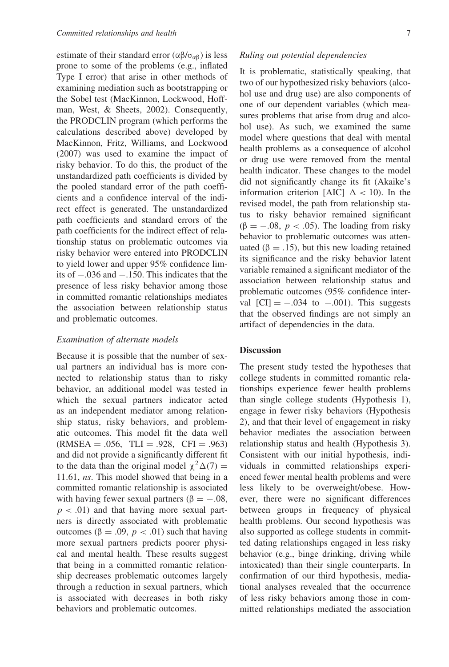estimate of their standard error ( $\alpha\beta/\sigma_{\alpha\beta}$ ) is less prone to some of the problems (e.g., inflated Type I error) that arise in other methods of examining mediation such as bootstrapping or the Sobel test (MacKinnon, Lockwood, Hoffman, West, & Sheets, 2002). Consequently, the PRODCLIN program (which performs the calculations described above) developed by MacKinnon, Fritz, Williams, and Lockwood (2007) was used to examine the impact of risky behavior. To do this, the product of the unstandardized path coefficients is divided by the pooled standard error of the path coefficients and a confidence interval of the indirect effect is generated. The unstandardized path coefficients and standard errors of the path coefficients for the indirect effect of relationship status on problematic outcomes via risky behavior were entered into PRODCLIN to yield lower and upper 95% confidence limits of −.036 and −.150. This indicates that the presence of less risky behavior among those in committed romantic relationships mediates the association between relationship status and problematic outcomes.

#### *Examination of alternate models*

Because it is possible that the number of sexual partners an individual has is more connected to relationship status than to risky behavior, an additional model was tested in which the sexual partners indicator acted as an independent mediator among relationship status, risky behaviors, and problematic outcomes. This model fit the data well  $(RMSEA = .056, TLI = .928, CFI = .963)$ and did not provide a significantly different fit to the data than the original model  $\chi^2 \Delta(7) =$ 11*.*61, *ns*. This model showed that being in a committed romantic relationship is associated with having fewer sexual partners ( $\beta = -.08$ ,  $p < .01$ ) and that having more sexual partners is directly associated with problematic outcomes (β =  $.09, p < .01$ ) such that having more sexual partners predicts poorer physical and mental health. These results suggest that being in a committed romantic relationship decreases problematic outcomes largely through a reduction in sexual partners, which is associated with decreases in both risky behaviors and problematic outcomes.

### *Ruling out potential dependencies*

It is problematic, statistically speaking, that two of our hypothesized risky behaviors (alcohol use and drug use) are also components of one of our dependent variables (which measures problems that arise from drug and alcohol use). As such, we examined the same model where questions that deal with mental health problems as a consequence of alcohol or drug use were removed from the mental health indicator. These changes to the model did not significantly change its fit (Akaike's information criterion [AIC]  $\Delta$  < 10). In the revised model, the path from relationship status to risky behavior remained significant ( $\beta = -.08$ ,  $p < .05$ ). The loading from risky behavior to problematic outcomes was attenuated ( $\beta = .15$ ), but this new loading retained its significance and the risky behavior latent variable remained a significant mediator of the association between relationship status and problematic outcomes (95% confidence interval  $\text{[CI]} = -.034$  to  $-.001$ ). This suggests that the observed findings are not simply an artifact of dependencies in the data.

## **Discussion**

The present study tested the hypotheses that college students in committed romantic relationships experience fewer health problems than single college students (Hypothesis 1), engage in fewer risky behaviors (Hypothesis 2), and that their level of engagement in risky behavior mediates the association between relationship status and health (Hypothesis 3). Consistent with our initial hypothesis, individuals in committed relationships experienced fewer mental health problems and were less likely to be overweight/obese. However, there were no significant differences between groups in frequency of physical health problems. Our second hypothesis was also supported as college students in committed dating relationships engaged in less risky behavior (e.g., binge drinking, driving while intoxicated) than their single counterparts. In confirmation of our third hypothesis, mediational analyses revealed that the occurrence of less risky behaviors among those in committed relationships mediated the association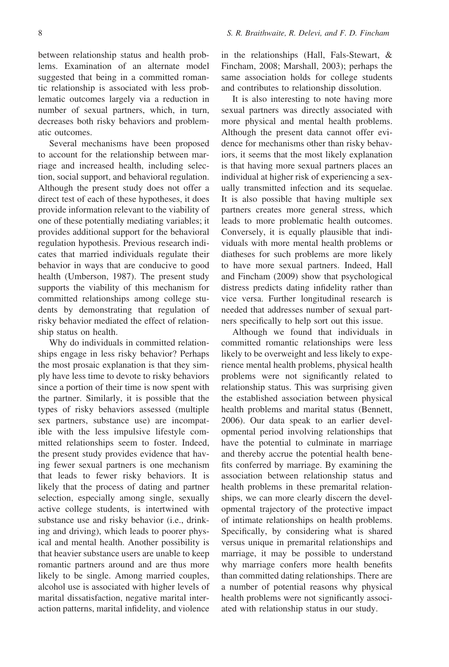between relationship status and health problems. Examination of an alternate model suggested that being in a committed romantic relationship is associated with less problematic outcomes largely via a reduction in number of sexual partners, which, in turn, decreases both risky behaviors and problematic outcomes.

Several mechanisms have been proposed to account for the relationship between marriage and increased health, including selection, social support, and behavioral regulation. Although the present study does not offer a direct test of each of these hypotheses, it does provide information relevant to the viability of one of these potentially mediating variables; it provides additional support for the behavioral regulation hypothesis. Previous research indicates that married individuals regulate their behavior in ways that are conducive to good health (Umberson, 1987). The present study supports the viability of this mechanism for committed relationships among college students by demonstrating that regulation of risky behavior mediated the effect of relationship status on health.

Why do individuals in committed relationships engage in less risky behavior? Perhaps the most prosaic explanation is that they simply have less time to devote to risky behaviors since a portion of their time is now spent with the partner. Similarly, it is possible that the types of risky behaviors assessed (multiple sex partners, substance use) are incompatible with the less impulsive lifestyle committed relationships seem to foster. Indeed, the present study provides evidence that having fewer sexual partners is one mechanism that leads to fewer risky behaviors. It is likely that the process of dating and partner selection, especially among single, sexually active college students, is intertwined with substance use and risky behavior (i.e., drinking and driving), which leads to poorer physical and mental health. Another possibility is that heavier substance users are unable to keep romantic partners around and are thus more likely to be single. Among married couples, alcohol use is associated with higher levels of marital dissatisfaction, negative marital interaction patterns, marital infidelity, and violence in the relationships (Hall, Fals-Stewart, & Fincham, 2008; Marshall, 2003); perhaps the same association holds for college students and contributes to relationship dissolution.

It is also interesting to note having more sexual partners was directly associated with more physical and mental health problems. Although the present data cannot offer evidence for mechanisms other than risky behaviors, it seems that the most likely explanation is that having more sexual partners places an individual at higher risk of experiencing a sexually transmitted infection and its sequelae. It is also possible that having multiple sex partners creates more general stress, which leads to more problematic health outcomes. Conversely, it is equally plausible that individuals with more mental health problems or diatheses for such problems are more likely to have more sexual partners. Indeed, Hall and Fincham (2009) show that psychological distress predicts dating infidelity rather than vice versa. Further longitudinal research is needed that addresses number of sexual partners specifically to help sort out this issue.

Although we found that individuals in committed romantic relationships were less likely to be overweight and less likely to experience mental health problems, physical health problems were not significantly related to relationship status. This was surprising given the established association between physical health problems and marital status (Bennett, 2006). Our data speak to an earlier developmental period involving relationships that have the potential to culminate in marriage and thereby accrue the potential health benefits conferred by marriage. By examining the association between relationship status and health problems in these premarital relationships, we can more clearly discern the developmental trajectory of the protective impact of intimate relationships on health problems. Specifically, by considering what is shared versus unique in premarital relationships and marriage, it may be possible to understand why marriage confers more health benefits than committed dating relationships. There are a number of potential reasons why physical health problems were not significantly associated with relationship status in our study.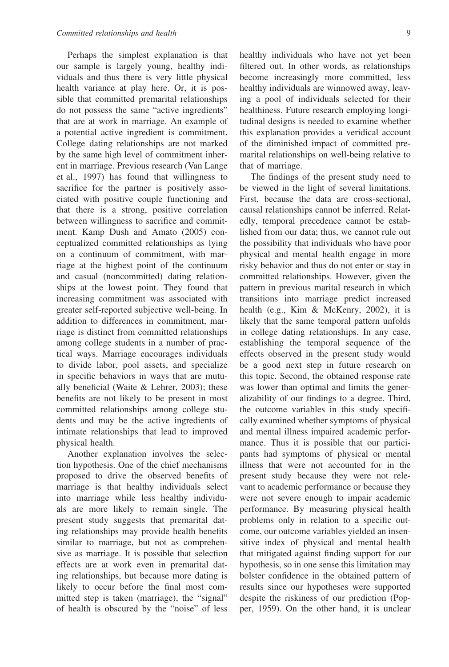Perhaps the simplest explanation is that our sample is largely young, healthy individuals and thus there is very little physical health variance at play here. Or, it is possible that committed premarital relationships do not possess the same "active ingredients" that are at work in marriage. An example of a potential active ingredient is commitment. College dating relationships are not marked by the same high level of commitment inherent in marriage. Previous research (Van Lange et al., 1997) has found that willingness to sacrifice for the partner is positively associated with positive couple functioning and that there is a strong, positive correlation between willingness to sacrifice and commitment. Kamp Dush and Amato (2005) conceptualized committed relationships as lying on a continuum of commitment, with marriage at the highest point of the continuum and casual (noncommitted) dating relationships at the lowest point. They found that increasing commitment was associated with greater self-reported subjective well-being. In addition to differences in commitment, marriage is distinct from committed relationships among college students in a number of practical ways. Marriage encourages individuals to divide labor, pool assets, and specialize in specific behaviors in ways that are mutually beneficial (Waite & Lehrer, 2003); these benefits are not likely to be present in most committed relationships among college students and may be the active ingredients of intimate relationships that lead to improved physical health.

Another explanation involves the selection hypothesis. One of the chief mechanisms proposed to drive the observed benefits of marriage is that healthy individuals select into marriage while less healthy individuals are more likely to remain single. The present study suggests that premarital dating relationships may provide health benefits similar to marriage, but not as comprehensive as marriage. It is possible that selection effects are at work even in premarital dating relationships, but because more dating is likely to occur before the final most committed step is taken (marriage), the "signal" of health is obscured by the "noise" of less

healthy individuals who have not yet been filtered out. In other words, as relationships become increasingly more committed, less healthy individuals are winnowed away, leaving a pool of individuals selected for their healthiness. Future research employing longitudinal designs is needed to examine whether this explanation provides a veridical account of the diminished impact of committed premarital relationships on well-being relative to that of marriage.

The findings of the present study need to be viewed in the light of several limitations. First, because the data are cross-sectional, causal relationships cannot be inferred. Relatedly, temporal precedence cannot be established from our data; thus, we cannot rule out the possibility that individuals who have poor physical and mental health engage in more risky behavior and thus do not enter or stay in committed relationships. However, given the pattern in previous marital research in which transitions into marriage predict increased health (e.g., Kim & McKenry, 2002), it is likely that the same temporal pattern unfolds in college dating relationships. In any case, establishing the temporal sequence of the effects observed in the present study would be a good next step in future research on this topic. Second, the obtained response rate was lower than optimal and limits the generalizability of our findings to a degree. Third, the outcome variables in this study specifically examined whether symptoms of physical and mental illness impaired academic performance. Thus it is possible that our participants had symptoms of physical or mental illness that were not accounted for in the present study because they were not relevant to academic performance or because they were not severe enough to impair academic performance. By measuring physical health problems only in relation to a specific outcome, our outcome variables yielded an insensitive index of physical and mental health that mitigated against finding support for our hypothesis, so in one sense this limitation may bolster confidence in the obtained pattern of results since our hypotheses were supported despite the riskiness of our prediction (Popper, 1959). On the other hand, it is unclear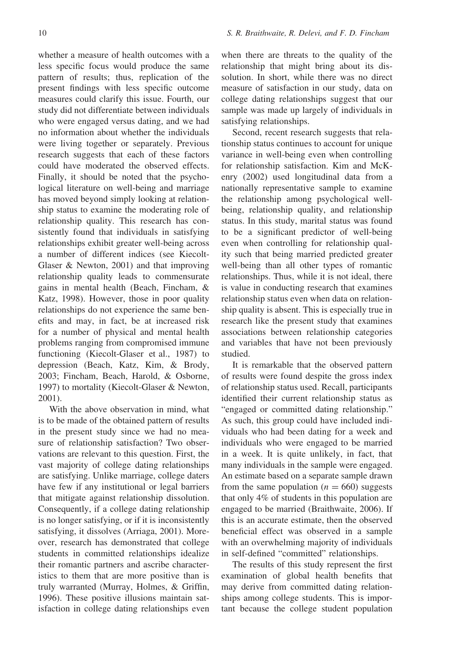whether a measure of health outcomes with a less specific focus would produce the same pattern of results; thus, replication of the present findings with less specific outcome measures could clarify this issue. Fourth, our study did not differentiate between individuals who were engaged versus dating, and we had no information about whether the individuals were living together or separately. Previous research suggests that each of these factors could have moderated the observed effects. Finally, it should be noted that the psychological literature on well-being and marriage has moved beyond simply looking at relationship status to examine the moderating role of relationship quality. This research has consistently found that individuals in satisfying relationships exhibit greater well-being across a number of different indices (see Kiecolt-Glaser & Newton, 2001) and that improving relationship quality leads to commensurate gains in mental health (Beach, Fincham, & Katz, 1998). However, those in poor quality relationships do not experience the same benefits and may, in fact, be at increased risk for a number of physical and mental health problems ranging from compromised immune functioning (Kiecolt-Glaser et al., 1987) to depression (Beach, Katz, Kim, & Brody, 2003; Fincham, Beach, Harold, & Osborne, 1997) to mortality (Kiecolt-Glaser & Newton, 2001).

With the above observation in mind, what is to be made of the obtained pattern of results in the present study since we had no measure of relationship satisfaction? Two observations are relevant to this question. First, the vast majority of college dating relationships are satisfying. Unlike marriage, college daters have few if any institutional or legal barriers that mitigate against relationship dissolution. Consequently, if a college dating relationship is no longer satisfying, or if it is inconsistently satisfying, it dissolves (Arriaga, 2001). Moreover, research has demonstrated that college students in committed relationships idealize their romantic partners and ascribe characteristics to them that are more positive than is truly warranted (Murray, Holmes, & Griffin, 1996). These positive illusions maintain satisfaction in college dating relationships even

when there are threats to the quality of the relationship that might bring about its dissolution. In short, while there was no direct measure of satisfaction in our study, data on college dating relationships suggest that our sample was made up largely of individuals in satisfying relationships.

Second, recent research suggests that relationship status continues to account for unique variance in well-being even when controlling for relationship satisfaction. Kim and McKenry (2002) used longitudinal data from a nationally representative sample to examine the relationship among psychological wellbeing, relationship quality, and relationship status. In this study, marital status was found to be a significant predictor of well-being even when controlling for relationship quality such that being married predicted greater well-being than all other types of romantic relationships. Thus, while it is not ideal, there is value in conducting research that examines relationship status even when data on relationship quality is absent. This is especially true in research like the present study that examines associations between relationship categories and variables that have not been previously studied.

It is remarkable that the observed pattern of results were found despite the gross index of relationship status used. Recall, participants identified their current relationship status as "engaged or committed dating relationship." As such, this group could have included individuals who had been dating for a week and individuals who were engaged to be married in a week. It is quite unlikely, in fact, that many individuals in the sample were engaged. An estimate based on a separate sample drawn from the same population  $(n = 660)$  suggests that only 4% of students in this population are engaged to be married (Braithwaite, 2006). If this is an accurate estimate, then the observed beneficial effect was observed in a sample with an overwhelming majority of individuals in self-defined "committed" relationships.

The results of this study represent the first examination of global health benefits that may derive from committed dating relationships among college students. This is important because the college student population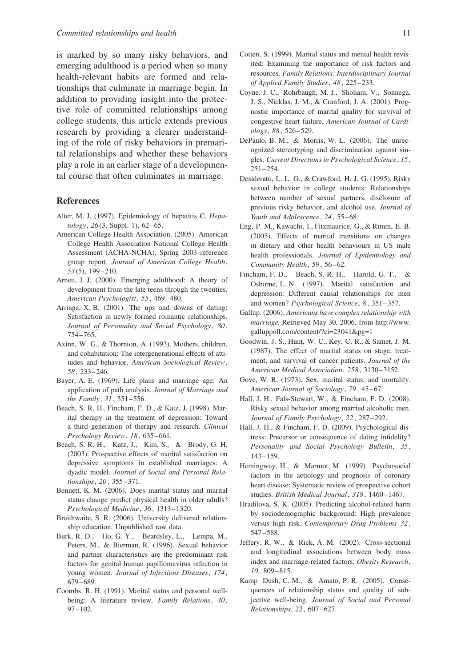is marked by so many risky behaviors, and emerging adulthood is a period when so many health-relevant habits are formed and relationships that culminate in marriage begin. In addition to providing insight into the protective role of committed relationships among college students, this article extends previous research by providing a clearer understanding of the role of risky behaviors in premarital relationships and whether these behaviors play a role in an earlier stage of a developmental course that often culminates in marriage.

## **References**

- Alter, M. J. (1997). Epidemiology of hepatitis C. *Hepatology*, *26* (3, Suppl. 1), 62–65.
- American College Health Association. (2005). American College Health Association National College Health Assessment (ACHA-NCHA), Spring 2003 reference group report. *Journal of American College Health*, *53* (5), 199–210.
- Arnett, J. J. (2000). Emerging adulthood: A theory of development from the late teens through the twenties. *American Psychologist*, *55* , 469–480.
- Arriaga, X. B. (2001). The ups and downs of dating: Satisfaction in newly formed romantic relationships. *Journal of Personality and Social Psychology*, *80* , 754–765.
- Axinn, W. G., & Thornton, A. (1993). Mothers, children, and cohabitation: The intergenerational effects of attitudes and behavior. *American Sociological Review*, *58* , 233–246.
- Bayer, A. E. (1969). Life plans and marriage age: An application of path analysis. *Journal of Marriage and the Family*, *31* , 551–556.
- Beach, S. R. H., Fincham, F. D., & Katz, J. (1998). Marital therapy in the treatment of depression: Toward a third generation of therapy and research. *Clinical Psychology Review*, *18* , 635–661.
- Beach, S. R. H., Katz, J., Kim, S., & Brody, G. H. (2003). Prospective effects of marital satisfaction on depressive symptoms in established marriages: A dyadic model. *Journal of Social and Personal Relationships*, *20* , 355–371.
- Bennett, K. M. (2006). Does marital status and marital status change predict physical health in older adults? *Psychological Medicine*, *36* , 1313–1320.
- Braithwaite, S. R. (2006). University delivered relationship education. Unpublished raw data.
- Burk, R. D., Ho, G. Y., Beardsley, L., Lempa, M., Peters, M., & Bierman, R. (1996). Sexual behavior and partner characteristics are the predominant risk factors for genital human papillomavirus infection in young women. *Journal of Infectious Diseases*, *174* , 679–689.
- Coombs, R. H. (1991). Marital status and personal wellbeing: A literature review. *Family Relations*, *40* , 97–102.
- Cotten, S. (1999). Marital status and mental health revisited: Examining the importance of risk factors and resources. *Family Relations: Interdisciplinary Journal of Applied Family Studies*, *48* , 225–233.
- Coyne, J. C., Rohrbaugh, M. J., Shoham, V., Sonnega, J. S., Nicklas, J. M., & Cranford, J. A. (2001). Prognostic importance of marital quality for survival of congestive heart failure. *American Journal of Cardiology*, *88* , 526–529.
- DePaulo, B. M., & Morris, W. L. (2006). The unrecognized stereotyping and discrimination against singles. *Current Directions in Psychological Science*, *15* , 251–254.
- Desiderato, L. L. G., & Crawford, H. J. G. (1995). Risky sexual behavior in college students: Relationships between number of sexual partners, disclosure of previous risky behavior, and alcohol use. *Journal of Youth and Adolescence*, *24* , 55–68.
- Eng, P. M., Kawachi, I., Fitzmaurice, G., & Rimm, E. B. (2005). Effects of marital transitions on changes in dietary and other health behaviours in US male health professionals. *Journal of Epidemiology and Community Health*, *59* , 56–62.
- Fincham, F. D., Beach, S. R. H., Harold, G. T., & Osborne, L. N. (1997). Marital satisfaction and depression: Different causal relationships for men and women? *Psychological Science*, *8* , 351–357.
- Gallup. (2006). *Americans have complex relationship with marriage.* Retrieved May 30, 2006, from http://www. galluppoll.com/content/?ci=23041&pg=1
- Goodwin, J. S., Hunt, W. C., Key, C. R., & Samet, J. M. (1987). The effect of marital status on stage, treatment, and survival of cancer patients. *Journal of the American Medical Association*, *258* , 3130–3152.
- Gove, W. R. (1973). Sex, marital status, and mortality. *American Journal of Sociology*, *79* , 45–67.
- Hall, J. H., Fals-Stewart, W., & Fincham, F. D. (2008). Risky sexual behavior among married alcoholic men. *Journal of Family Psychology*, *22* , 287–292.
- Hall, J. H., & Fincham, F. D. (2009). Psychological distress: Precursor or consequence of dating infidelity? *Personality and Social Psychology Bulletin*, *35* , 143–159.
- Hemingway, H., & Marmot, M. (1999). Psychosocial factors in the aetiology and prognosis of coronary heart disease: Systematic review of prospective cohort studies. *British Medical Journal*, *318* , 1460–1467.
- Hradilova, S. K. (2005). Predicting alcohol-related harm by sociodemographic background: High prevalence versus high risk. *Contemporary Drug Problems 32* , 547–588.
- Jeffery, R. W., & Rick, A. M. (2002). Cross-sectional and longitudinal associations between body mass index and marriage-related factors. *Obesity Research*, *10* , 809–815.
- Kamp Dush, C. M., & Amato, P. R. (2005). Consequences of relationship status and quality of subjective well-being. *Journal of Social and Personal Relationships*, *22* , 607–627.